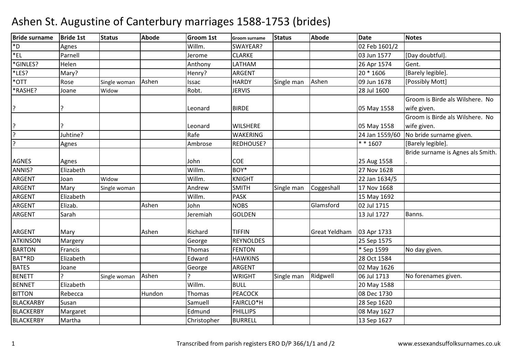| <b>Bride surname</b> | <b>Bride 1st</b> | <b>Status</b> | <b>Abode</b> | <b>Groom 1st</b> | <b>Groom surname</b> | <b>Status</b> | <b>Abode</b>         | <b>Date</b>    | <b>Notes</b>                      |
|----------------------|------------------|---------------|--------------|------------------|----------------------|---------------|----------------------|----------------|-----------------------------------|
| $*_{D}$              | Agnes            |               |              | Willm.           | SWAYEAR?             |               |                      | 02 Feb 1601/2  |                                   |
| $E_{\text{L}}$       | Parnell          |               |              | Jerome           | <b>CLARKE</b>        |               |                      | 03 Jun 1577    | [Day doubtful].                   |
| *GINLES?             | Helen            |               |              | Anthony          | LATHAM               |               |                      | 26 Apr 1574    | Gent.                             |
| *LES?                | Mary?            |               |              | Henry?           | ARGENT               |               |                      | 20 * 1606      | [Barely legible].                 |
| *OTT                 | Rose             | Single woman  | Ashen        | Issac            | <b>HARDY</b>         | Single man    | Ashen                | 09 Jun 1678    | [Possibly Mott]                   |
| *RASHE?              | Joane            | Widow         |              | Robt.            | <b>JERVIS</b>        |               |                      | 28 Jul 1600    |                                   |
|                      |                  |               |              |                  |                      |               |                      |                | Groom is Birde als Wilshere. No   |
| l?                   |                  |               |              | Leonard          | <b>BIRDE</b>         |               |                      | 05 May 1558    | wife given.                       |
|                      |                  |               |              |                  |                      |               |                      |                | Groom is Birde als Wilshere. No   |
|                      |                  |               |              | Leonard          | <b>WILSHERE</b>      |               |                      | 05 May 1558    | wife given.                       |
| $\overline{?}$       | Juhtine?         |               |              | Rafe             | <b>WAKERING</b>      |               |                      | 24 Jan 1559/60 | No bride surname given.           |
| $\overline{ }$       | Agnes            |               |              | Ambrose          | REDHOUSE?            |               |                      | * * 1607       | [Barely legible].                 |
|                      |                  |               |              |                  |                      |               |                      |                | Bride surname is Agnes als Smith. |
| <b>AGNES</b>         | Agnes            |               |              | John             | <b>COE</b>           |               |                      | 25 Aug 1558    |                                   |
| ANNIS?               | Elizabeth        |               |              | Willm.           | BOY*                 |               |                      | 27 Nov 1628    |                                   |
| <b>ARGENT</b>        | Joan             | Widow         |              | Willm.           | <b>KNIGHT</b>        |               |                      | 22 Jan 1634/5  |                                   |
| ARGENT               | Mary             | Single woman  |              | Andrew           | <b>SMITH</b>         | Single man    | Coggeshall           | 17 Nov 1668    |                                   |
| <b>ARGENT</b>        | Elizabeth        |               |              | Willm.           | <b>PASK</b>          |               |                      | 15 May 1692    |                                   |
| <b>ARGENT</b>        | Elizab.          |               | Ashen        | John             | <b>NOBS</b>          |               | Glamsford            | 02 Jul 1715    |                                   |
| ARGENT               | Sarah            |               |              | Jeremiah         | <b>GOLDEN</b>        |               |                      | 13 Jul 1727    | Banns.                            |
|                      |                  |               |              |                  |                      |               |                      |                |                                   |
| <b>ARGENT</b>        | Mary             |               | Ashen        | Richard          | <b>TIFFIN</b>        |               | <b>Great Yeldham</b> | 03 Apr 1733    |                                   |
| <b>ATKINSON</b>      | Margery          |               |              | George           | <b>REYNOLDES</b>     |               |                      | 25 Sep 1575    |                                   |
| <b>BARTON</b>        | Francis          |               |              | Thomas           | <b>FENTON</b>        |               |                      | * Sep 1599     | No day given.                     |
| BAT*RD               | Elizabeth        |               |              | Edward           | <b>HAWKINS</b>       |               |                      | 28 Oct 1584    |                                   |
| <b>BATES</b>         | Joane            |               |              | George           | <b>ARGENT</b>        |               |                      | 02 May 1626    |                                   |
| <b>BENETT</b>        |                  | Single woman  | Ashen        |                  | <b>WRIGHT</b>        | Single man    | Ridgwell             | 06 Jul 1713    | No forenames given.               |
| <b>BENNET</b>        | Elizabeth        |               |              | Willm.           | <b>BULL</b>          |               |                      | 20 May 1588    |                                   |
| <b>BITTON</b>        | Rebecca          |               | Hundon       | Thomas           | <b>PEACOCK</b>       |               |                      | 08 Dec 1730    |                                   |
| <b>BLACKARBY</b>     | Susan            |               |              | Samuell          | <b>FAIRCLO*H</b>     |               |                      | 28 Sep 1620    |                                   |
| <b>BLACKERBY</b>     | Margaret         |               |              | Edmund           | <b>PHILLIPS</b>      |               |                      | 08 May 1627    |                                   |
| <b>BLACKERBY</b>     | Martha           |               |              | Christopher      | <b>BURRELL</b>       |               |                      | 13 Sep 1627    |                                   |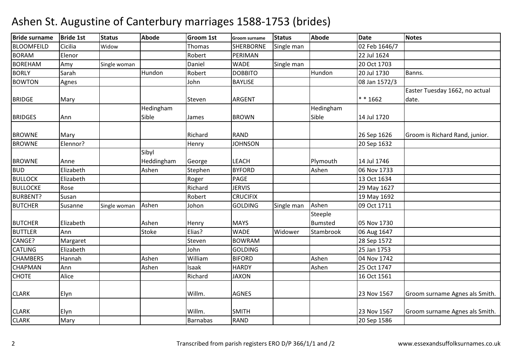| <b>Bride surname</b> | <b>Bride 1st</b> | <b>Status</b> | <b>Abode</b> | <b>Groom 1st</b> | <b>Groom surname</b> | <b>Status</b> | <b>Abode</b>   | <b>Date</b>   | <b>Notes</b>                   |
|----------------------|------------------|---------------|--------------|------------------|----------------------|---------------|----------------|---------------|--------------------------------|
| <b>BLOOMFEILD</b>    | Cicilia          | Widow         |              | Thomas           | <b>SHERBORNE</b>     | Single man    |                | 02 Feb 1646/7 |                                |
| <b>BORAM</b>         | Elenor           |               |              | Robert           | PERIMAN              |               |                | 22 Jul 1624   |                                |
| <b>BOREHAM</b>       | Amy              | Single woman  |              | Daniel           | <b>WADE</b>          | Single man    |                | 20 Oct 1703   |                                |
| <b>BORLY</b>         | Sarah            |               | Hundon       | Robert           | <b>DOBBITO</b>       |               | Hundon         | 20 Jul 1730   | Banns.                         |
| <b>BOWTON</b>        | Agnes            |               |              | John             | <b>BAYLISE</b>       |               |                | 08 Jan 1572/3 |                                |
|                      |                  |               |              |                  |                      |               |                |               | Easter Tuesday 1662, no actual |
| <b>BRIDGE</b>        | Mary             |               |              | Steven           | <b>ARGENT</b>        |               |                | $* * 1662$    | date.                          |
|                      |                  |               | Hedingham    |                  |                      |               | Hedingham      |               |                                |
| <b>BRIDGES</b>       | Ann              |               | Sible        | James            | <b>BROWN</b>         |               | Sible          | 14 Jul 1720   |                                |
| <b>BROWNE</b>        | Mary             |               |              | Richard          | <b>RAND</b>          |               |                | 26 Sep 1626   | Groom is Richard Rand, junior. |
| <b>BROWNE</b>        | Elennor?         |               |              | Henry            | <b>JOHNSON</b>       |               |                | 20 Sep 1632   |                                |
|                      |                  |               | Sibyl        |                  |                      |               |                |               |                                |
| <b>BROWNE</b>        | Anne             |               | Heddingham   | George           | LEACH                |               | Plymouth       | 14 Jul 1746   |                                |
| <b>BUD</b>           | Elizabeth        |               | Ashen        | Stephen          | <b>BYFORD</b>        |               | Ashen          | 06 Nov 1733   |                                |
| <b>BULLOCK</b>       | Elizabeth        |               |              | Roger            | PAGE                 |               |                | 13 Oct 1634   |                                |
| <b>BULLOCKE</b>      | Rose             |               |              | Richard          | <b>JERVIS</b>        |               |                | 29 May 1627   |                                |
| <b>BURBENT?</b>      | Susan            |               |              | Robert           | <b>CRUCIFIX</b>      |               |                | 19 May 1692   |                                |
| <b>BUTCHER</b>       | Susanne          | Single woman  | Ashen        | Johon            | <b>GOLDING</b>       | Single man    | Ashen          | 09 Oct 1711   |                                |
|                      |                  |               |              |                  |                      |               | Steeple        |               |                                |
| <b>BUTCHER</b>       | Elizabeth        |               | Ashen        | Henry            | <b>MAYS</b>          |               | <b>Bumsted</b> | 05 Nov 1730   |                                |
| <b>BUTTLER</b>       | Ann              |               | Stoke        | Elias?           | <b>WADE</b>          | Widower       | Stambrook      | 06 Aug 1647   |                                |
| CANGE?               | Margaret         |               |              | Steven           | <b>BOWRAM</b>        |               |                | 28 Sep 1572   |                                |
| <b>CATLING</b>       | Elizabeth        |               |              | John             | <b>GOLDING</b>       |               |                | 25 Jan 1753   |                                |
| <b>CHAMBERS</b>      | Hannah           |               | Ashen        | William          | <b>BIFORD</b>        |               | Ashen          | 04 Nov 1742   |                                |
| <b>CHAPMAN</b>       | Ann              |               | Ashen        | Isaak            | <b>HARDY</b>         |               | Ashen          | 25 Oct 1747   |                                |
| CHOTE                | Alice            |               |              | Richard          | <b>JAXON</b>         |               |                | 16 Oct 1561   |                                |
| <b>CLARK</b>         | Elyn             |               |              | Willm.           | <b>AGNES</b>         |               |                | 23 Nov 1567   | Groom surname Agnes als Smith. |
|                      |                  |               |              |                  |                      |               |                |               |                                |
| <b>CLARK</b>         | Elyn             |               |              | Willm.           | <b>SMITH</b>         |               |                | 23 Nov 1567   | Groom surname Agnes als Smith. |
| <b>CLARK</b>         | Mary             |               |              | <b>Barnabas</b>  | <b>RAND</b>          |               |                | 20 Sep 1586   |                                |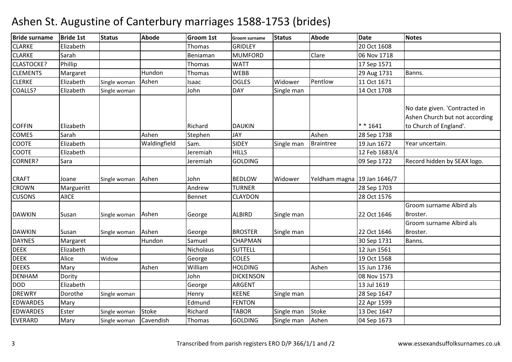#### $Brido$  surname  $Brido$  1st e Bride 1st Status Abode Groom 1st Groom surname Status Abode Date Notes CLARKEE Elizabeth Thomas GRIDLEY 20 Oct 1608 CLARKEE<sub>Sarah</sub> h | Beniaman MUMFORD D Clare 06 Nov 1718 CLASTOCKE?? Phillip Thomas WATT 17 Sep 1571 CLEMENTSS Margaret Hundon n Thomas WEBB CLERKEE<sub>lizabeth</sub> h Single woman Ashen Isaac 10GLES Widower Pentlow w 11 Oct 1671 COALLS?? Elizabeth h Single woman **John DAY** Single man 14 Oct 1708 COFFIN Elizabeth Richard DAUKIN \* \* 1641COMESS<sub>arah</sub> Ashen Stephen JAY Ashen 28 Sep 1738

| Elizabeth<br>Thomas<br><b>GRIDLEY</b><br>20 Oct 1608<br>Sarah<br><b>MUMFORD</b><br>Clare<br>06 Nov 1718<br>Beniaman<br>Phillip<br><b>WATT</b><br>Thomas<br>17 Sep 1571<br>Hundon<br><b>WEBB</b><br>Banns.<br>29 Aug 1731<br>Thomas<br>Margaret<br>Elizabeth<br>Ashen<br><b>OGLES</b><br>Widower<br>Pentlow<br>11 Oct 1671<br>Single woman<br>Isaac<br>Elizabeth<br>John<br><b>DAY</b><br>Single man<br>14 Oct 1708<br>Single woman<br>No date given. 'Contracted in<br>Ashen Church but not according<br>$* * 1641$<br><b>DAUKIN</b><br>to Church of England'.<br>Elizabeth<br>Richard<br>Ashen<br>Ashen<br><b>JAY</b><br>Sarah<br>Stephen<br>28 Sep 1738<br>Waldingfield<br>Elizabeth<br><b>SIDEY</b><br>19 Jun 1672<br>Single man<br><b>Braintree</b><br>Year uncertain.<br>Sam.<br>Elizabeth<br>Jeremiah<br><b>HILLS</b><br>12 Feb 1683/4<br><b>GOLDING</b><br>Sara<br>09 Sep 1722<br>Record hidden by SEAX logo.<br>Jeremiah<br>Yeldham magna 19 Jan 1646/7<br>Ashen<br>John<br><b>BEDLOW</b><br>Widower<br>Single woman<br>Joane<br><b>CROWN</b><br>Andrew<br><b>TURNER</b><br>28 Sep 1703<br>Margueritt<br><b>AlICE</b><br><b>CUSONS</b><br><b>CLAYDON</b><br>28 Oct 1576<br>Bennet<br>Groom surname Albird als<br>Ashen<br><b>ALBIRD</b><br>22 Oct 1646<br>Susan<br>Single man<br>Broster.<br>Single woman<br>George<br>Groom surname Albird als<br>Ashen<br><b>BROSTER</b><br>22 Oct 1646<br>Single man<br>Broster.<br>Susan<br>Single woman<br>George<br><b>DAYNES</b><br>Banns.<br>Margaret<br>Hundon<br>Samuel<br>CHAPMAN<br>30 Sep 1731<br><b>DEEK</b><br>Elizabeth<br>Nicholaus<br><b>SUTTELL</b><br>12 Jun 1561<br><b>DEEK</b><br>Alice<br><b>COLES</b><br>19 Oct 1568<br>Widow<br>George<br><b>DEEKS</b><br>Ashen<br>William<br>Ashen<br>Mary<br><b>HOLDING</b><br>15 Jun 1736<br><b>DENHAM</b><br>John<br><b>DICKENSON</b><br>08 Nov 1573<br>Dority<br><b>DOD</b><br>Elizabeth<br><b>ARGENT</b><br>13 Jul 1619<br>George | <b>Drige surname</b> | Ibrige 121 | <b>Status</b> | Annae | Groom 1st | Groom surname | platus     | Annae | vate        | <b>NOLES</b> |
|------------------------------------------------------------------------------------------------------------------------------------------------------------------------------------------------------------------------------------------------------------------------------------------------------------------------------------------------------------------------------------------------------------------------------------------------------------------------------------------------------------------------------------------------------------------------------------------------------------------------------------------------------------------------------------------------------------------------------------------------------------------------------------------------------------------------------------------------------------------------------------------------------------------------------------------------------------------------------------------------------------------------------------------------------------------------------------------------------------------------------------------------------------------------------------------------------------------------------------------------------------------------------------------------------------------------------------------------------------------------------------------------------------------------------------------------------------------------------------------------------------------------------------------------------------------------------------------------------------------------------------------------------------------------------------------------------------------------------------------------------------------------------------------------------------------------------------------------------------------------------------------------------------------------------------------|----------------------|------------|---------------|-------|-----------|---------------|------------|-------|-------------|--------------|
|                                                                                                                                                                                                                                                                                                                                                                                                                                                                                                                                                                                                                                                                                                                                                                                                                                                                                                                                                                                                                                                                                                                                                                                                                                                                                                                                                                                                                                                                                                                                                                                                                                                                                                                                                                                                                                                                                                                                          | <b>CLARKE</b>        |            |               |       |           |               |            |       |             |              |
|                                                                                                                                                                                                                                                                                                                                                                                                                                                                                                                                                                                                                                                                                                                                                                                                                                                                                                                                                                                                                                                                                                                                                                                                                                                                                                                                                                                                                                                                                                                                                                                                                                                                                                                                                                                                                                                                                                                                          | <b>CLARKE</b>        |            |               |       |           |               |            |       |             |              |
|                                                                                                                                                                                                                                                                                                                                                                                                                                                                                                                                                                                                                                                                                                                                                                                                                                                                                                                                                                                                                                                                                                                                                                                                                                                                                                                                                                                                                                                                                                                                                                                                                                                                                                                                                                                                                                                                                                                                          | <b>CLASTOCKE?</b>    |            |               |       |           |               |            |       |             |              |
|                                                                                                                                                                                                                                                                                                                                                                                                                                                                                                                                                                                                                                                                                                                                                                                                                                                                                                                                                                                                                                                                                                                                                                                                                                                                                                                                                                                                                                                                                                                                                                                                                                                                                                                                                                                                                                                                                                                                          | <b>CLEMENTS</b>      |            |               |       |           |               |            |       |             |              |
|                                                                                                                                                                                                                                                                                                                                                                                                                                                                                                                                                                                                                                                                                                                                                                                                                                                                                                                                                                                                                                                                                                                                                                                                                                                                                                                                                                                                                                                                                                                                                                                                                                                                                                                                                                                                                                                                                                                                          | <b>CLERKE</b>        |            |               |       |           |               |            |       |             |              |
|                                                                                                                                                                                                                                                                                                                                                                                                                                                                                                                                                                                                                                                                                                                                                                                                                                                                                                                                                                                                                                                                                                                                                                                                                                                                                                                                                                                                                                                                                                                                                                                                                                                                                                                                                                                                                                                                                                                                          | COALLS?              |            |               |       |           |               |            |       |             |              |
|                                                                                                                                                                                                                                                                                                                                                                                                                                                                                                                                                                                                                                                                                                                                                                                                                                                                                                                                                                                                                                                                                                                                                                                                                                                                                                                                                                                                                                                                                                                                                                                                                                                                                                                                                                                                                                                                                                                                          | <b>COFFIN</b>        |            |               |       |           |               |            |       |             |              |
|                                                                                                                                                                                                                                                                                                                                                                                                                                                                                                                                                                                                                                                                                                                                                                                                                                                                                                                                                                                                                                                                                                                                                                                                                                                                                                                                                                                                                                                                                                                                                                                                                                                                                                                                                                                                                                                                                                                                          | <b>COMES</b>         |            |               |       |           |               |            |       |             |              |
|                                                                                                                                                                                                                                                                                                                                                                                                                                                                                                                                                                                                                                                                                                                                                                                                                                                                                                                                                                                                                                                                                                                                                                                                                                                                                                                                                                                                                                                                                                                                                                                                                                                                                                                                                                                                                                                                                                                                          | <b>COOTE</b>         |            |               |       |           |               |            |       |             |              |
|                                                                                                                                                                                                                                                                                                                                                                                                                                                                                                                                                                                                                                                                                                                                                                                                                                                                                                                                                                                                                                                                                                                                                                                                                                                                                                                                                                                                                                                                                                                                                                                                                                                                                                                                                                                                                                                                                                                                          | <b>COOTE</b>         |            |               |       |           |               |            |       |             |              |
|                                                                                                                                                                                                                                                                                                                                                                                                                                                                                                                                                                                                                                                                                                                                                                                                                                                                                                                                                                                                                                                                                                                                                                                                                                                                                                                                                                                                                                                                                                                                                                                                                                                                                                                                                                                                                                                                                                                                          | CORNER?              |            |               |       |           |               |            |       |             |              |
|                                                                                                                                                                                                                                                                                                                                                                                                                                                                                                                                                                                                                                                                                                                                                                                                                                                                                                                                                                                                                                                                                                                                                                                                                                                                                                                                                                                                                                                                                                                                                                                                                                                                                                                                                                                                                                                                                                                                          | <b>CRAFT</b>         |            |               |       |           |               |            |       |             |              |
|                                                                                                                                                                                                                                                                                                                                                                                                                                                                                                                                                                                                                                                                                                                                                                                                                                                                                                                                                                                                                                                                                                                                                                                                                                                                                                                                                                                                                                                                                                                                                                                                                                                                                                                                                                                                                                                                                                                                          |                      |            |               |       |           |               |            |       |             |              |
|                                                                                                                                                                                                                                                                                                                                                                                                                                                                                                                                                                                                                                                                                                                                                                                                                                                                                                                                                                                                                                                                                                                                                                                                                                                                                                                                                                                                                                                                                                                                                                                                                                                                                                                                                                                                                                                                                                                                          |                      |            |               |       |           |               |            |       |             |              |
|                                                                                                                                                                                                                                                                                                                                                                                                                                                                                                                                                                                                                                                                                                                                                                                                                                                                                                                                                                                                                                                                                                                                                                                                                                                                                                                                                                                                                                                                                                                                                                                                                                                                                                                                                                                                                                                                                                                                          | <b>DAWKIN</b>        |            |               |       |           |               |            |       |             |              |
|                                                                                                                                                                                                                                                                                                                                                                                                                                                                                                                                                                                                                                                                                                                                                                                                                                                                                                                                                                                                                                                                                                                                                                                                                                                                                                                                                                                                                                                                                                                                                                                                                                                                                                                                                                                                                                                                                                                                          | <b>DAWKIN</b>        |            |               |       |           |               |            |       |             |              |
|                                                                                                                                                                                                                                                                                                                                                                                                                                                                                                                                                                                                                                                                                                                                                                                                                                                                                                                                                                                                                                                                                                                                                                                                                                                                                                                                                                                                                                                                                                                                                                                                                                                                                                                                                                                                                                                                                                                                          |                      |            |               |       |           |               |            |       |             |              |
|                                                                                                                                                                                                                                                                                                                                                                                                                                                                                                                                                                                                                                                                                                                                                                                                                                                                                                                                                                                                                                                                                                                                                                                                                                                                                                                                                                                                                                                                                                                                                                                                                                                                                                                                                                                                                                                                                                                                          |                      |            |               |       |           |               |            |       |             |              |
|                                                                                                                                                                                                                                                                                                                                                                                                                                                                                                                                                                                                                                                                                                                                                                                                                                                                                                                                                                                                                                                                                                                                                                                                                                                                                                                                                                                                                                                                                                                                                                                                                                                                                                                                                                                                                                                                                                                                          |                      |            |               |       |           |               |            |       |             |              |
|                                                                                                                                                                                                                                                                                                                                                                                                                                                                                                                                                                                                                                                                                                                                                                                                                                                                                                                                                                                                                                                                                                                                                                                                                                                                                                                                                                                                                                                                                                                                                                                                                                                                                                                                                                                                                                                                                                                                          |                      |            |               |       |           |               |            |       |             |              |
|                                                                                                                                                                                                                                                                                                                                                                                                                                                                                                                                                                                                                                                                                                                                                                                                                                                                                                                                                                                                                                                                                                                                                                                                                                                                                                                                                                                                                                                                                                                                                                                                                                                                                                                                                                                                                                                                                                                                          |                      |            |               |       |           |               |            |       |             |              |
|                                                                                                                                                                                                                                                                                                                                                                                                                                                                                                                                                                                                                                                                                                                                                                                                                                                                                                                                                                                                                                                                                                                                                                                                                                                                                                                                                                                                                                                                                                                                                                                                                                                                                                                                                                                                                                                                                                                                          |                      |            |               |       |           |               |            |       |             |              |
|                                                                                                                                                                                                                                                                                                                                                                                                                                                                                                                                                                                                                                                                                                                                                                                                                                                                                                                                                                                                                                                                                                                                                                                                                                                                                                                                                                                                                                                                                                                                                                                                                                                                                                                                                                                                                                                                                                                                          | <b>DREWRY</b>        | Dorothe    | Single woman  |       | Henry     | <b>KEENE</b>  | Single man |       | 28 Sep 1647 |              |
| Edmund<br>Mary<br><b>FENTON</b><br>22 Apr 1599                                                                                                                                                                                                                                                                                                                                                                                                                                                                                                                                                                                                                                                                                                                                                                                                                                                                                                                                                                                                                                                                                                                                                                                                                                                                                                                                                                                                                                                                                                                                                                                                                                                                                                                                                                                                                                                                                           | <b>EDWARDES</b>      |            |               |       |           |               |            |       |             |              |
| <b>Stoke</b><br>Richard<br><b>TABOR</b><br><b>Stoke</b><br>Ester<br>13 Dec 1647<br>Single man<br>Single woman                                                                                                                                                                                                                                                                                                                                                                                                                                                                                                                                                                                                                                                                                                                                                                                                                                                                                                                                                                                                                                                                                                                                                                                                                                                                                                                                                                                                                                                                                                                                                                                                                                                                                                                                                                                                                            | <b>EDWARDES</b>      |            |               |       |           |               |            |       |             |              |
| Ashen<br>Cavendish<br>Mary<br>Thomas<br><b>GOLDING</b><br>Single man<br>04 Sep 1673<br>Single woman                                                                                                                                                                                                                                                                                                                                                                                                                                                                                                                                                                                                                                                                                                                                                                                                                                                                                                                                                                                                                                                                                                                                                                                                                                                                                                                                                                                                                                                                                                                                                                                                                                                                                                                                                                                                                                      | <b>EVERARD</b>       |            |               |       |           |               |            |       |             |              |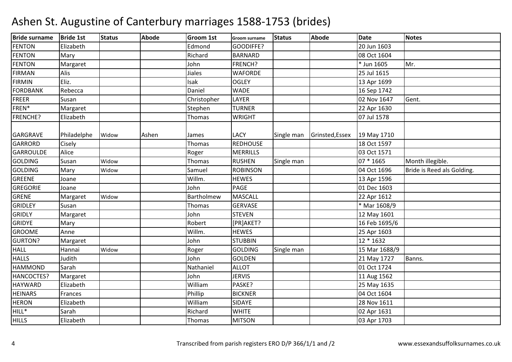| <b>Bride surname</b> | <b>Bride 1st</b> | <b>Status</b> | <b>Abode</b> | <b>Groom 1st</b> | <b>Groom surname</b> | <b>Status</b> | <b>Abode</b>    | <b>Date</b>   | <b>Notes</b>               |
|----------------------|------------------|---------------|--------------|------------------|----------------------|---------------|-----------------|---------------|----------------------------|
| <b>FENTON</b>        | Elizabeth        |               |              | Edmond           | GOODIFFE?            |               |                 | 20 Jun 1603   |                            |
| <b>FENTON</b>        | Mary             |               |              | Richard          | <b>BARNARD</b>       |               |                 | 08 Oct 1604   |                            |
| <b>FENTON</b>        | Margaret         |               |              | John             | FRENCH?              |               |                 | * Jun 1605    | Mr.                        |
| FIRMAN               | Alis             |               |              | Jiales           | <b>WAFORDE</b>       |               |                 | 25 Jul 1615   |                            |
| <b>FIRMIN</b>        | Eliz.            |               |              | Isak             | <b>OGLEY</b>         |               |                 | 13 Apr 1699   |                            |
| <b>FORDBANK</b>      | Rebecca          |               |              | Daniel           | <b>WADE</b>          |               |                 | 16 Sep 1742   |                            |
| <b>FREER</b>         | Susan            |               |              | Christopher      | LAYER                |               |                 | 02 Nov 1647   | Gent.                      |
| FREN*                | Margaret         |               |              | Stephen          | <b>TURNER</b>        |               |                 | 22 Apr 1630   |                            |
| <b>FRENCHE?</b>      | Elizabeth        |               |              | <b>Thomas</b>    | <b>WRIGHT</b>        |               |                 | 07 Jul 1578   |                            |
|                      |                  |               |              |                  |                      |               |                 |               |                            |
| <b>GARGRAVE</b>      | Philadelphe      | Widow         | Ashen        | James            | <b>LACY</b>          | Single man    | Grinsted, Essex | 19 May 1710   |                            |
| GARRORD              | Cisely           |               |              | Thomas           | <b>REDHOUSE</b>      |               |                 | 18 Oct 1597   |                            |
| <b>GARROULDE</b>     | Alice            |               |              | Roger            | <b>MERRILLS</b>      |               |                 | 03 Oct 1571   |                            |
| <b>GOLDING</b>       | Susan            | Widow         |              | Thomas           | <b>RUSHEN</b>        | Single man    |                 | 07 * 1665     | Month illegible.           |
| <b>GOLDING</b>       | Mary             | Widow         |              | Samuel           | <b>ROBINSON</b>      |               |                 | 04 Oct 1696   | Bride is Reed als Golding. |
| <b>GREENE</b>        | Joane            |               |              | Willm.           | <b>HEWES</b>         |               |                 | 13 Apr 1596   |                            |
| <b>GREGORIE</b>      | Joane            |               |              | John             | <b>PAGE</b>          |               |                 | 01 Dec 1603   |                            |
| <b>GRENE</b>         | Margaret         | Widow         |              | Bartholmew       | <b>MASCALL</b>       |               |                 | 22 Apr 1612   |                            |
| <b>GRIDLEY</b>       | Susan            |               |              | Thomas           | <b>GERVASE</b>       |               |                 | * Mar 1608/9  |                            |
| <b>GRIDLY</b>        | Margaret         |               |              | John             | <b>STEVEN</b>        |               |                 | 12 May 1601   |                            |
| <b>GRIDYE</b>        | Mary             |               |              | Robert           | [PR]AKET?            |               |                 | 16 Feb 1695/6 |                            |
| <b>GROOME</b>        | Anne             |               |              | Willm.           | <b>HEWES</b>         |               |                 | 25 Apr 1603   |                            |
| <b>GURTON?</b>       | Margaret         |               |              | John             | <b>STUBBIN</b>       |               |                 | 12 * 1632     |                            |
| <b>HALL</b>          | Hannai           | Widow         |              | Roger            | <b>GOLDING</b>       | Single man    |                 | 15 Mar 1688/9 |                            |
| <b>HALLS</b>         | Judith           |               |              | John             | <b>GOLDEN</b>        |               |                 | 21 May 1727   | Banns.                     |
| <b>HAMMOND</b>       | Sarah            |               |              | Nathaniel        | <b>ALLOT</b>         |               |                 | 01 Oct 1724   |                            |
| HANCOCTES?           | Margaret         |               |              | John             | <b>JERVIS</b>        |               |                 | 11 Aug 1562   |                            |
| <b>HAYWARD</b>       | Elizabeth        |               |              | William          | PASKE?               |               |                 | 25 May 1635   |                            |
| <b>HEINARS</b>       | Frances          |               |              | Phillip          | <b>BICKNER</b>       |               |                 | 04 Oct 1604   |                            |
| <b>HERON</b>         | Elizabeth        |               |              | William          | SIDAYE               |               |                 | 28 Nov 1611   |                            |
| $HILL^*$             | Sarah            |               |              | Richard          | <b>WHITE</b>         |               |                 | 02 Apr 1631   |                            |
| <b>HILLS</b>         | Elizabeth        |               |              | Thomas           | <b>MITSON</b>        |               |                 | 03 Apr 1703   |                            |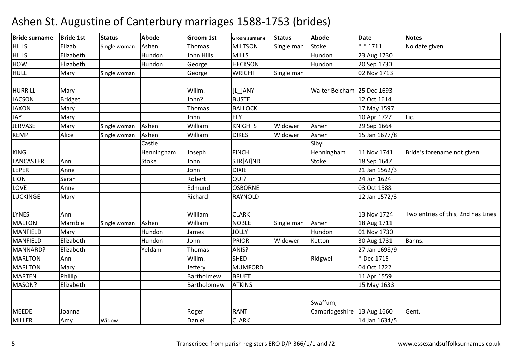| <b>Bride surname</b> | <b>Bride 1st</b> | <b>Status</b> | <b>Abode</b> | <b>Groom 1st</b> | <b>Groom surname</b> | <b>Status</b> | <b>Abode</b>   | <b>Date</b>          | <b>Notes</b>                        |
|----------------------|------------------|---------------|--------------|------------------|----------------------|---------------|----------------|----------------------|-------------------------------------|
| <b>HILLS</b>         | Elizab.          | Single woman  | Ashen        | <b>Thomas</b>    | <b>MILTSON</b>       | Single man    | Stoke          | $\overline{**}$ 1711 | No date given.                      |
| <b>HILLS</b>         | Elizabeth        |               | Hundon       | John Hills       | <b>MILLS</b>         |               | Hundon         | 23 Aug 1730          |                                     |
| <b>HOW</b>           | Elizabeth        |               | Hundon       | George           | <b>HECKSON</b>       |               | Hundon         | 20 Sep 1730          |                                     |
| <b>HULL</b>          | Mary             | Single woman  |              | George           | <b>WRIGHT</b>        | Single man    |                | 02 Nov 1713          |                                     |
|                      |                  |               |              |                  |                      |               |                |                      |                                     |
| <b>HURRILL</b>       | Mary             |               |              | Willm.           | [L ]ANY              |               | Walter Belcham | 25 Dec 1693          |                                     |
| <b>JACSON</b>        | Bridget          |               |              | John?            | <b>BUSTE</b>         |               |                | 12 Oct 1614          |                                     |
| <b>JAXON</b>         | Mary             |               |              | <b>Thomas</b>    | <b>BALLOCK</b>       |               |                | 17 May 1597          |                                     |
| <b>JAY</b>           | Mary             |               |              | John             | <b>ELY</b>           |               |                | 10 Apr 1727          | Lic.                                |
| <b>JERVASE</b>       | Mary             | Single woman  | Ashen        | William          | <b>KNIGHTS</b>       | Widower       | Ashen          | 29 Sep 1664          |                                     |
| <b>KEMP</b>          | Alice            | Single woman  | Ashen        | William          | <b>DIKES</b>         | Widower       | Ashen          | 15 Jan 1677/8        |                                     |
|                      |                  |               | Castle       |                  |                      |               | Sibyl          |                      |                                     |
| <b>KING</b>          |                  |               | Henningham   | Joseph           | <b>FINCH</b>         |               | Henningham     | 11 Nov 1741          | Bride's forename not given.         |
| <b>LANCASTER</b>     | Ann              |               | Stoke        | John             | STR[AI]ND            |               | Stoke          | 18 Sep 1647          |                                     |
| <b>LEPER</b>         | Anne             |               |              | John             | <b>DIXIE</b>         |               |                | 21 Jan 1562/3        |                                     |
| <b>LION</b>          | Sarah            |               |              | Robert           | QUI?                 |               |                | 24 Jun 1624          |                                     |
| LOVE                 | Anne             |               |              | Edmund           | <b>OSBORNE</b>       |               |                | 03 Oct 1588          |                                     |
| <b>LUCKINGE</b>      | Mary             |               |              | Richard          | <b>RAYNOLD</b>       |               |                | 12 Jan 1572/3        |                                     |
|                      |                  |               |              |                  |                      |               |                |                      |                                     |
| <b>LYNES</b>         | Ann              |               |              | William          | <b>CLARK</b>         |               |                | 13 Nov 1724          | Two entries of this, 2nd has Lines. |
| <b>MALTON</b>        | Marrible         | Single woman  | Ashen        | William          | <b>NOBLE</b>         | Single man    | Ashen          | 18 Aug 1711          |                                     |
| <b>MANFIELD</b>      | Mary             |               | Hundon       | James            | <b>JOLLY</b>         |               | Hundon         | 01 Nov 1730          |                                     |
| <b>MANFIELD</b>      | Elizabeth        |               | Hundon       | John             | <b>PRIOR</b>         | Widower       | Ketton         | 30 Aug 1731          | Banns.                              |
| MANNARD?             | Elizabeth        |               | Yeldam       | <b>Thomas</b>    | ANIS?                |               |                | 27 Jan 1698/9        |                                     |
| <b>MARLTON</b>       | Ann              |               |              | Willm.           | <b>SHED</b>          |               | Ridgwell       | * Dec 1715           |                                     |
| <b>MARLTON</b>       | Mary             |               |              | Jeffery          | <b>MUMFORD</b>       |               |                | 04 Oct 1722          |                                     |
| <b>MARTEN</b>        | Phillip          |               |              | Bartholmew       | <b>BRUET</b>         |               |                | 11 Apr 1559          |                                     |
| MASON?               | Elizabeth        |               |              | Bartholomew      | <b>ATKINS</b>        |               |                | 15 May 1633          |                                     |
|                      |                  |               |              |                  |                      |               |                |                      |                                     |
|                      |                  |               |              |                  |                      |               | Swaffum,       |                      |                                     |
| <b>MEEDE</b>         | Joanna           |               |              | Roger            | <b>RANT</b>          |               | Cambridgeshire | 13 Aug 1660          | Gent.                               |
| <b>MILLER</b>        | Amy              | Widow         |              | Daniel           | <b>CLARK</b>         |               |                | 14 Jan 1634/5        |                                     |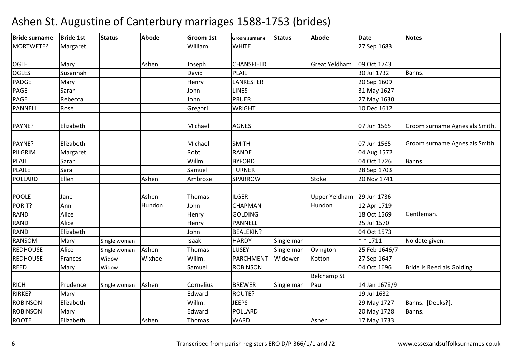| <b>Bride surname</b> | <b>Bride 1st</b> | <b>Status</b> | <b>Abode</b> | <b>Groom 1st</b> | Groom surname    | <b>Status</b> | <b>Abode</b>       | <b>Date</b>   | <b>Notes</b>                   |
|----------------------|------------------|---------------|--------------|------------------|------------------|---------------|--------------------|---------------|--------------------------------|
| MORTWETE?            | Margaret         |               |              | William          | <b>WHITE</b>     |               |                    | 27 Sep 1683   |                                |
|                      |                  |               |              |                  |                  |               |                    |               |                                |
| <b>OGLE</b>          | Mary             |               | Ashen        | Joseph           | CHANSFIELD       |               | Great Yeldham      | 09 Oct 1743   |                                |
| <b>OGLES</b>         | Susannah         |               |              | David            | <b>PLAIL</b>     |               |                    | 30 Jul 1732   | Banns.                         |
| <b>PADGE</b>         | Mary             |               |              | Henry            | LANKESTER        |               |                    | 20 Sep 1609   |                                |
| PAGE                 | Sarah            |               |              | John             | <b>LINES</b>     |               |                    | 31 May 1627   |                                |
| PAGE                 | Rebecca          |               |              | John             | <b>PRUER</b>     |               |                    | 27 May 1630   |                                |
| PANNELL              | Rose             |               |              | Gregori          | <b>WRIGHT</b>    |               |                    | 10 Dec 1612   |                                |
| PAYNE?               | Elizabeth        |               |              | Michael          | <b>AGNES</b>     |               |                    | 07 Jun 1565   | Groom surname Agnes als Smith. |
| PAYNE?               | Elizabeth        |               |              | Michael          | <b>SMITH</b>     |               |                    | 07 Jun 1565   | Groom surname Agnes als Smith. |
| PILGRIM              | Margaret         |               |              | Robt.            | <b>RANDE</b>     |               |                    | 04 Aug 1572   |                                |
| PLAIL                | Sarah            |               |              | Willm.           | <b>BYFORD</b>    |               |                    | 04 Oct 1726   | Banns.                         |
| PLAILE               | Sarai            |               |              | Samuel           | <b>TURNER</b>    |               |                    | 28 Sep 1703   |                                |
| POLLARD              | Ellen            |               | Ashen        | Ambrose          | SPARROW          |               | Stoke              | 20 Nov 1741   |                                |
| <b>POOLE</b>         | Jane             |               | Ashen        | <b>Thomas</b>    | <b>ILGER</b>     |               | Upper Yeldham      | 29 Jun 1736   |                                |
| PORIT?               | Ann              |               | Hundon       | John             | <b>CHAPMAN</b>   |               | Hundon             | 12 Apr 1719   |                                |
| <b>RAND</b>          | Alice            |               |              | Henry            | <b>GOLDING</b>   |               |                    | 18 Oct 1569   | Gentleman.                     |
| RAND                 | Alice            |               |              | Henry            | PANNELL          |               |                    | 25 Jul 1570   |                                |
| <b>RAND</b>          | Elizabeth        |               |              | John             | <b>BEALEKIN?</b> |               |                    | 04 Oct 1573   |                                |
| <b>RANSOM</b>        | Mary             | Single woman  |              | Isaak            | <b>HARDY</b>     | Single man    |                    | $* * 1711$    | No date given.                 |
| <b>REDHOUSE</b>      | Alice            | Single woman  | Ashen        | Thomas           | LUSEY            | Single man    | Ovington           | 25 Feb 1646/7 |                                |
| <b>REDHOUSE</b>      | Frances          | Widow         | Wixhoe       | Willm.           | <b>PARCHMENT</b> | Widower       | Kotton             | 27 Sep 1647   |                                |
| <b>REED</b>          | Mary             | Widow         |              | Samuel           | <b>ROBINSON</b>  |               |                    | 04 Oct 1696   | Bride is Reed als Golding.     |
|                      |                  |               |              |                  |                  |               | <b>Belchamp St</b> |               |                                |
| <b>RICH</b>          | Prudence         | Single woman  | Ashen        | Cornelius        | <b>BREWER</b>    | Single man    | Paul               | 14 Jan 1678/9 |                                |
| RIRKE?               | Mary             |               |              | Edward           | ROUTE?           |               |                    | 19 Jul 1632   |                                |
| <b>ROBINSON</b>      | Elizabeth        |               |              | Willm.           | <b>JEEPS</b>     |               |                    | 29 May 1727   | Banns. [Deeks?].               |
| <b>ROBINSON</b>      | Mary             |               |              | Edward           | POLLARD          |               |                    | 20 May 1728   | Banns.                         |
| <b>ROOTE</b>         | Elizabeth        |               | Ashen        | Thomas           | <b>WARD</b>      |               | Ashen              | 17 May 1733   |                                |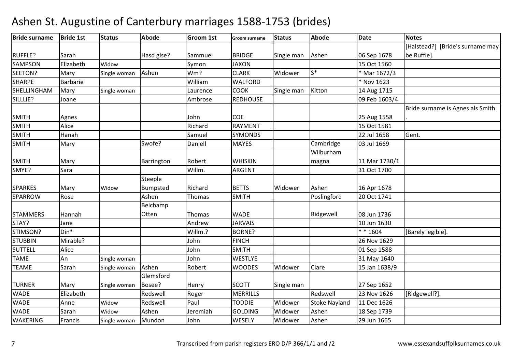| <b>Bride surname</b> | <b>Bride 1st</b> | <b>Status</b> | <b>Abode</b>    | Groom 1st | Groom surname   | <b>Status</b> | <b>Abode</b>         | <b>Date</b>   | <b>Notes</b>                      |
|----------------------|------------------|---------------|-----------------|-----------|-----------------|---------------|----------------------|---------------|-----------------------------------|
|                      |                  |               |                 |           |                 |               |                      |               | [Halstead?] [Bride's surname may  |
| <b>RUFFLE?</b>       | Sarah            |               | Hasd gise?      | Sammuel   | <b>BRIDGE</b>   | Single man    | Ashen                | 06 Sep 1678   | be Ruffle].                       |
| <b>SAMPSON</b>       | Elizabeth        | Widow         |                 | Symon     | <b>JAXON</b>    |               |                      | 15 Oct 1560   |                                   |
| SEETON?              | Mary             | Single woman  | Ashen           | Wm?       | <b>CLARK</b>    | Widower       | $S^*$                | * Mar 1672/3  |                                   |
| <b>SHARPE</b>        | Barbarie         |               |                 | William   | <b>WALFORD</b>  |               |                      | * Nov 1623    |                                   |
| SHELLINGHAM          | Mary             | Single woman  |                 | Laurence  | COOK            | Single man    | Kitton               | 14 Aug 1715   |                                   |
| SILLLIE?             | Joane            |               |                 | Ambrose   | <b>REDHOUSE</b> |               |                      | 09 Feb 1603/4 |                                   |
|                      |                  |               |                 |           |                 |               |                      |               | Bride surname is Agnes als Smith. |
| <b>SMITH</b>         | Agnes            |               |                 | John      | COE             |               |                      | 25 Aug 1558   |                                   |
| <b>SMITH</b>         | Alice            |               |                 | Richard   | <b>RAYMENT</b>  |               |                      | 15 Oct 1581   |                                   |
| <b>SMITH</b>         | Hanah            |               |                 | Samuel    | <b>SYMONDS</b>  |               |                      | 22 Jul 1658   | Gent.                             |
| <b>SMITH</b>         | Mary             |               | Swofe?          | Daniell   | <b>MAYES</b>    |               | Cambridge            | 03 Jul 1669   |                                   |
|                      |                  |               |                 |           |                 |               | Wilburham            |               |                                   |
| <b>SMITH</b>         | Mary             |               | Barrington      | Robert    | <b>WHISKIN</b>  |               | magna                | 11 Mar 1730/1 |                                   |
| SMYE?                | Sara             |               |                 | Willm.    | <b>ARGENT</b>   |               |                      | 31 Oct 1700   |                                   |
|                      |                  |               | Steeple         |           |                 |               |                      |               |                                   |
| <b>SPARKES</b>       | Mary             | Widow         | <b>Bumpsted</b> | Richard   | <b>BETTS</b>    | Widower       | Ashen                | 16 Apr 1678   |                                   |
| <b>SPARROW</b>       | Rose             |               | Ashen           | Thomas    | <b>SMITH</b>    |               | Poslingford          | 20 Oct 1741   |                                   |
|                      |                  |               | Belchamp        |           |                 |               |                      |               |                                   |
| <b>STAMMERS</b>      | Hannah           |               | Otten           | Thomas    | <b>WADE</b>     |               | Ridgewell            | 08 Jun 1736   |                                   |
| STAY?                | Jane             |               |                 | Andrew    | <b>JARVAIS</b>  |               |                      | 10 Jun 1630   |                                   |
| STIMSON?             | $Din*$           |               |                 | Willm.?   | BORNE?          |               |                      | $* * 1604$    | [Barely legible].                 |
| <b>STUBBIN</b>       | Mirable?         |               |                 | John      | <b>FINCH</b>    |               |                      | 26 Nov 1629   |                                   |
| <b>SUTTELL</b>       | Alice            |               |                 | John      | <b>SMITH</b>    |               |                      | 01 Sep 1588   |                                   |
| <b>TAME</b>          | An               | Single woman  |                 | John      | <b>WESTLYE</b>  |               |                      | 31 May 1640   |                                   |
| <b>TEAME</b>         | Sarah            | Single woman  | Ashen           | Robert    | <b>WOODES</b>   | Widower       | Clare                | 15 Jan 1638/9 |                                   |
|                      |                  |               | Glemsford       |           |                 |               |                      |               |                                   |
| <b>TURNER</b>        | Mary             | Single woman  | Bosee?          | Henry     | <b>SCOTT</b>    | Single man    |                      | 27 Sep 1652   |                                   |
| <b>WADE</b>          | Elizabeth        |               | Redswell        | Roger     | <b>MERRILLS</b> |               | Redswell             | 23 Nov 1626   | [Ridgewell?].                     |
| <b>WADE</b>          | Anne             | Widow         | Redswell        | Paul      | <b>TODDIE</b>   | Widower       | <b>Stoke Nayland</b> | 11 Dec 1626   |                                   |
| <b>WADE</b>          | Sarah            | Widow         | Ashen           | Jeremiah  | <b>GOLDING</b>  | Widower       | Ashen                | 18 Sep 1739   |                                   |
| <b>WAKERING</b>      | Francis          | Single woman  | Mundon          | John      | WESELY          | Widower       | Ashen                | 29 Jun 1665   |                                   |